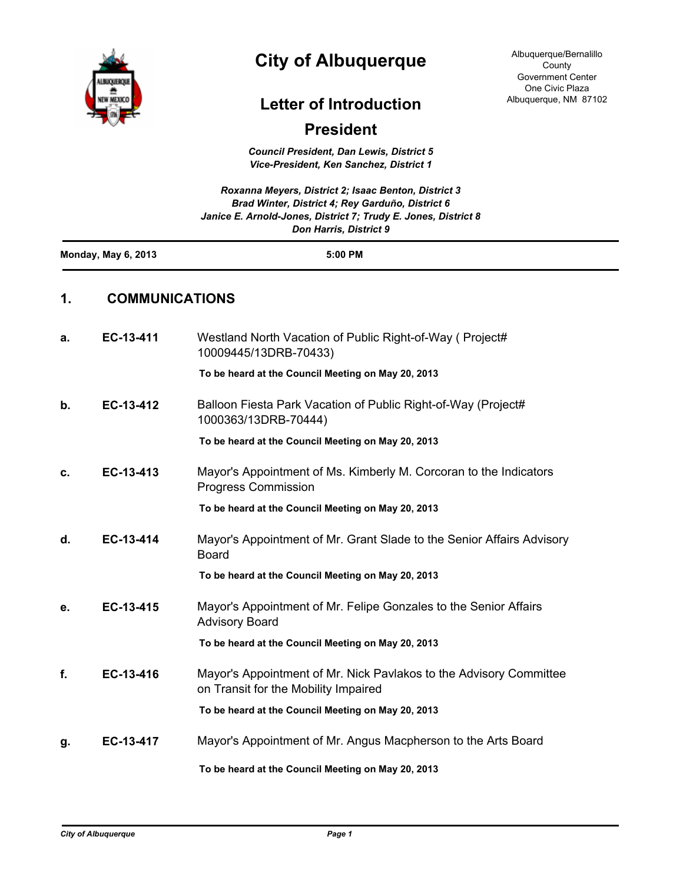

## **City of Albuquerque**

## **Letter of Introduction**

## **President**

*Council President, Dan Lewis, District 5 Vice-President, Ken Sanchez, District 1*

|                            |                       | Roxanna Meyers, District 2; Isaac Benton, District 3<br>Brad Winter, District 4; Rey Garduño, District 6<br>Janice E. Arnold-Jones, District 7; Trudy E. Jones, District 8<br>Don Harris, District 9 |
|----------------------------|-----------------------|------------------------------------------------------------------------------------------------------------------------------------------------------------------------------------------------------|
| <b>Monday, May 6, 2013</b> |                       | 5:00 PM                                                                                                                                                                                              |
| 1.                         | <b>COMMUNICATIONS</b> |                                                                                                                                                                                                      |
| а.                         | EC-13-411             | Westland North Vacation of Public Right-of-Way (Project#<br>10009445/13DRB-70433)                                                                                                                    |
|                            |                       | To be heard at the Council Meeting on May 20, 2013                                                                                                                                                   |
| b.                         | EC-13-412             | Balloon Fiesta Park Vacation of Public Right-of-Way (Project#<br>1000363/13DRB-70444)                                                                                                                |
|                            |                       | To be heard at the Council Meeting on May 20, 2013                                                                                                                                                   |
| c.                         | EC-13-413             | Mayor's Appointment of Ms. Kimberly M. Corcoran to the Indicators<br><b>Progress Commission</b>                                                                                                      |
|                            |                       | To be heard at the Council Meeting on May 20, 2013                                                                                                                                                   |
| d.                         | EC-13-414             | Mayor's Appointment of Mr. Grant Slade to the Senior Affairs Advisory<br><b>Board</b>                                                                                                                |
|                            |                       | To be heard at the Council Meeting on May 20, 2013                                                                                                                                                   |
| е.                         | EC-13-415             | Mayor's Appointment of Mr. Felipe Gonzales to the Senior Affairs<br><b>Advisory Board</b>                                                                                                            |
|                            |                       | To be heard at the Council Meeting on May 20, 2013                                                                                                                                                   |
| f                          | EC-13-416             | Mayor's Appointment of Mr. Nick Pavlakos to the Advisory Committee<br>on Transit for the Mobility Impaired                                                                                           |
|                            |                       | To be heard at the Council Meeting on May 20, 2013                                                                                                                                                   |
| g.                         | EC-13-417             | Mayor's Appointment of Mr. Angus Macpherson to the Arts Board                                                                                                                                        |
|                            |                       | To be heard at the Council Meeting on May 20, 2013                                                                                                                                                   |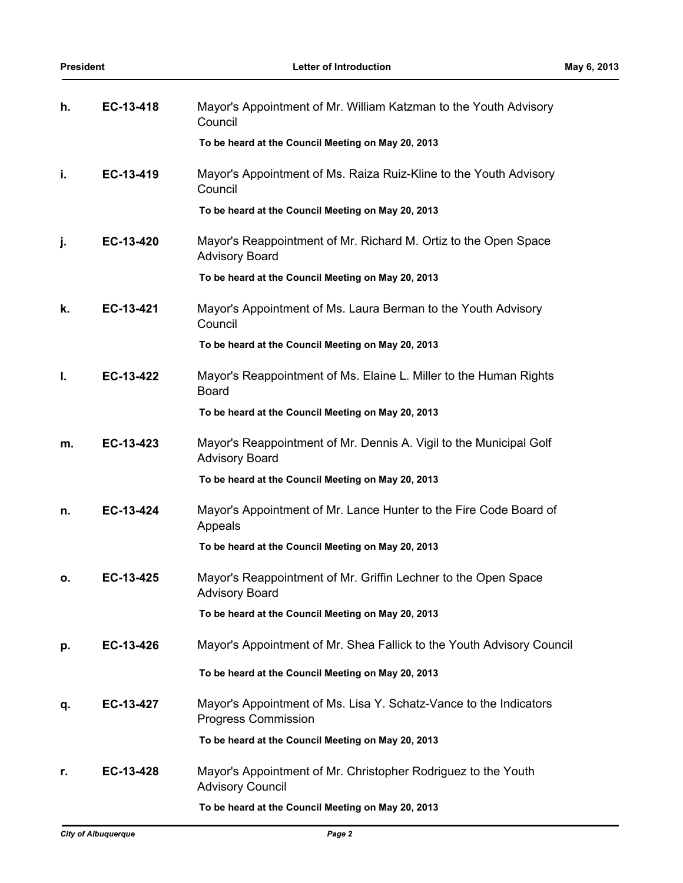| h. | EC-13-418 | Mayor's Appointment of Mr. William Katzman to the Youth Advisory<br>Council                     |
|----|-----------|-------------------------------------------------------------------------------------------------|
|    |           | To be heard at the Council Meeting on May 20, 2013                                              |
| i. | EC-13-419 | Mayor's Appointment of Ms. Raiza Ruiz-Kline to the Youth Advisory<br>Council                    |
|    |           | To be heard at the Council Meeting on May 20, 2013                                              |
| j. | EC-13-420 | Mayor's Reappointment of Mr. Richard M. Ortiz to the Open Space<br><b>Advisory Board</b>        |
|    |           | To be heard at the Council Meeting on May 20, 2013                                              |
| k. | EC-13-421 | Mayor's Appointment of Ms. Laura Berman to the Youth Advisory<br>Council                        |
|    |           | To be heard at the Council Meeting on May 20, 2013                                              |
| I. | EC-13-422 | Mayor's Reappointment of Ms. Elaine L. Miller to the Human Rights<br><b>Board</b>               |
|    |           | To be heard at the Council Meeting on May 20, 2013                                              |
| m. | EC-13-423 | Mayor's Reappointment of Mr. Dennis A. Vigil to the Municipal Golf<br><b>Advisory Board</b>     |
|    |           | To be heard at the Council Meeting on May 20, 2013                                              |
| n. | EC-13-424 | Mayor's Appointment of Mr. Lance Hunter to the Fire Code Board of<br>Appeals                    |
|    |           | To be heard at the Council Meeting on May 20, 2013                                              |
| ο. | EC-13-425 | Mayor's Reappointment of Mr. Griffin Lechner to the Open Space<br><b>Advisory Board</b>         |
|    |           | To be heard at the Council Meeting on May 20, 2013                                              |
| р. | EC-13-426 | Mayor's Appointment of Mr. Shea Fallick to the Youth Advisory Council                           |
|    |           | To be heard at the Council Meeting on May 20, 2013                                              |
| q. | EC-13-427 | Mayor's Appointment of Ms. Lisa Y. Schatz-Vance to the Indicators<br><b>Progress Commission</b> |
|    |           | To be heard at the Council Meeting on May 20, 2013                                              |
| r. | EC-13-428 | Mayor's Appointment of Mr. Christopher Rodriguez to the Youth<br><b>Advisory Council</b>        |
|    |           | To be heard at the Council Meeting on May 20, 2013                                              |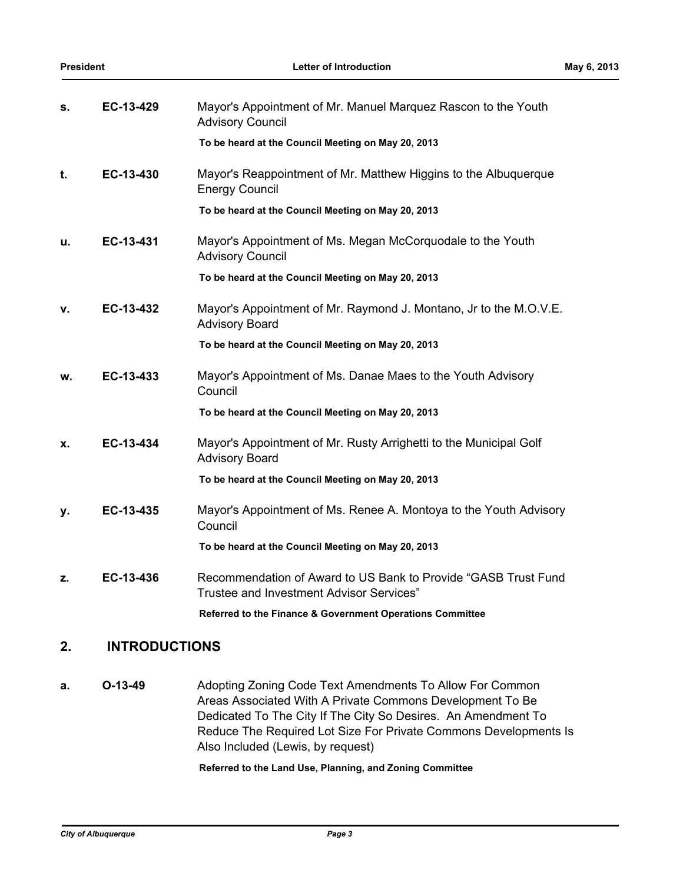| s. | EC-13-429 | Mayor's Appointment of Mr. Manuel Marquez Rascon to the Youth<br><b>Advisory Council</b>                   |
|----|-----------|------------------------------------------------------------------------------------------------------------|
|    |           | To be heard at the Council Meeting on May 20, 2013                                                         |
| t. | EC-13-430 | Mayor's Reappointment of Mr. Matthew Higgins to the Albuquerque<br><b>Energy Council</b>                   |
|    |           | To be heard at the Council Meeting on May 20, 2013                                                         |
| u. | EC-13-431 | Mayor's Appointment of Ms. Megan McCorquodale to the Youth<br><b>Advisory Council</b>                      |
|    |           | To be heard at the Council Meeting on May 20, 2013                                                         |
| v. | EC-13-432 | Mayor's Appointment of Mr. Raymond J. Montano, Jr to the M.O.V.E.<br><b>Advisory Board</b>                 |
|    |           | To be heard at the Council Meeting on May 20, 2013                                                         |
| w. | EC-13-433 | Mayor's Appointment of Ms. Danae Maes to the Youth Advisory<br>Council                                     |
|    |           | To be heard at the Council Meeting on May 20, 2013                                                         |
| x. | EC-13-434 | Mayor's Appointment of Mr. Rusty Arrighetti to the Municipal Golf<br><b>Advisory Board</b>                 |
|    |           | To be heard at the Council Meeting on May 20, 2013                                                         |
| у. | EC-13-435 | Mayor's Appointment of Ms. Renee A. Montoya to the Youth Advisory<br>Council                               |
|    |           | To be heard at the Council Meeting on May 20, 2013                                                         |
| z. | EC-13-436 | Recommendation of Award to US Bank to Provide "GASB Trust Fund<br>Trustee and Investment Advisor Services" |
|    |           | Referred to the Finance & Government Operations Committee                                                  |

## **2. INTRODUCTIONS**

**a. O-13-49** Adopting Zoning Code Text Amendments To Allow For Common Areas Associated With A Private Commons Development To Be Dedicated To The City If The City So Desires. An Amendment To Reduce The Required Lot Size For Private Commons Developments Is Also Included (Lewis, by request)

**Referred to the Land Use, Planning, and Zoning Committee**